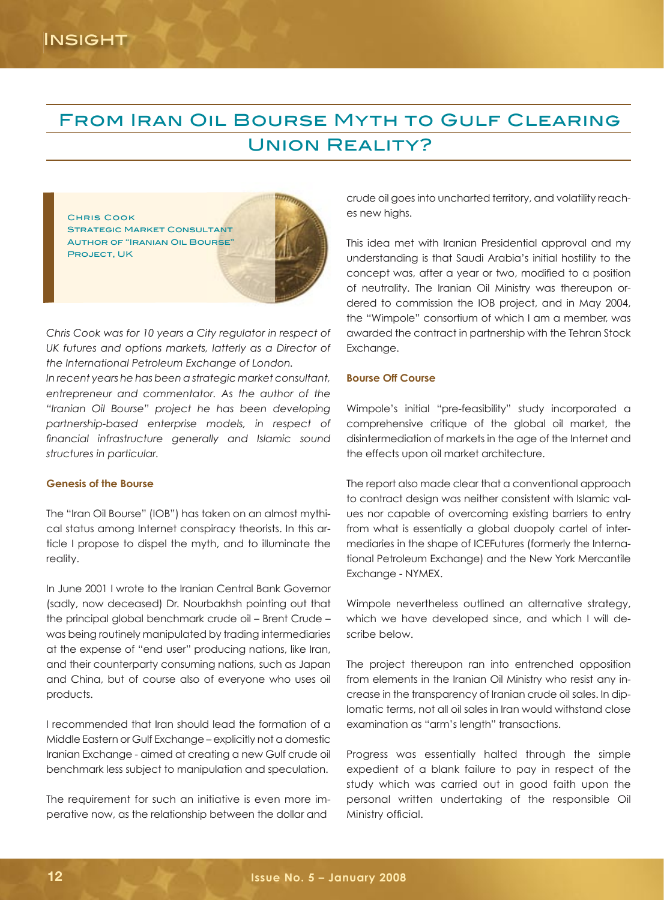# From Iran Oil Bourse Myth to Gulf Clearing Union Reality?



*Chris Cook was for 10 years a City regulator in respect of UK futures and options markets, latterly as a Director of the International Petroleum Exchange of London.* 

*In recent years he has been a strategic market consultant, entrepreneur and commentator. As the author of the "Iranian Oil Bourse" project he has been developing partnership-based enterprise models, in respect of financial infrastructure generally and Islamic sound structures in particular.* 

#### **Genesis of the Bourse**

The "Iran Oil Bourse" (IOB") has taken on an almost mythical status among Internet conspiracy theorists. In this article I propose to dispel the myth, and to illuminate the reality.

In June 2001 I wrote to the Iranian Central Bank Governor (sadly, now deceased) Dr. Nourbakhsh pointing out that the principal global benchmark crude oil – Brent Crude – was being routinely manipulated by trading intermediaries at the expense of "end user" producing nations, like Iran, and their counterparty consuming nations, such as Japan and China, but of course also of everyone who uses oil products.

I recommended that Iran should lead the formation of a Middle Eastern or Gulf Exchange – explicitly not a domestic Iranian Exchange - aimed at creating a new Gulf crude oil benchmark less subject to manipulation and speculation.

The requirement for such an initiative is even more imperative now, as the relationship between the dollar and

crude oil goes into uncharted territory, and volatility reaches new highs.

This idea met with Iranian Presidential approval and my understanding is that Saudi Arabia's initial hostility to the concept was, after a year or two, modified to a position of neutrality. The Iranian Oil Ministry was thereupon ordered to commission the IOB project, and in May 2004, the "Wimpole" consortium of which I am a member, was awarded the contract in partnership with the Tehran Stock Exchange.

#### **Bourse Off Course**

Wimpole's initial "pre-feasibility" study incorporated a comprehensive critique of the global oil market, the disintermediation of markets in the age of the Internet and the effects upon oil market architecture.

The report also made clear that a conventional approach to contract design was neither consistent with Islamic values nor capable of overcoming existing barriers to entry from what is essentially a global duopoly cartel of intermediaries in the shape of ICEFutures (formerly the International Petroleum Exchange) and the New York Mercantile Exchange - NYMEX.

Wimpole nevertheless outlined an alternative strategy, which we have developed since, and which I will describe below.

The project thereupon ran into entrenched opposition from elements in the Iranian Oil Ministry who resist any increase in the transparency of Iranian crude oil sales. In diplomatic terms, not all oil sales in Iran would withstand close examination as "arm's length" transactions.

Progress was essentially halted through the simple expedient of a blank failure to pay in respect of the study which was carried out in good faith upon the personal written undertaking of the responsible Oil Ministry official.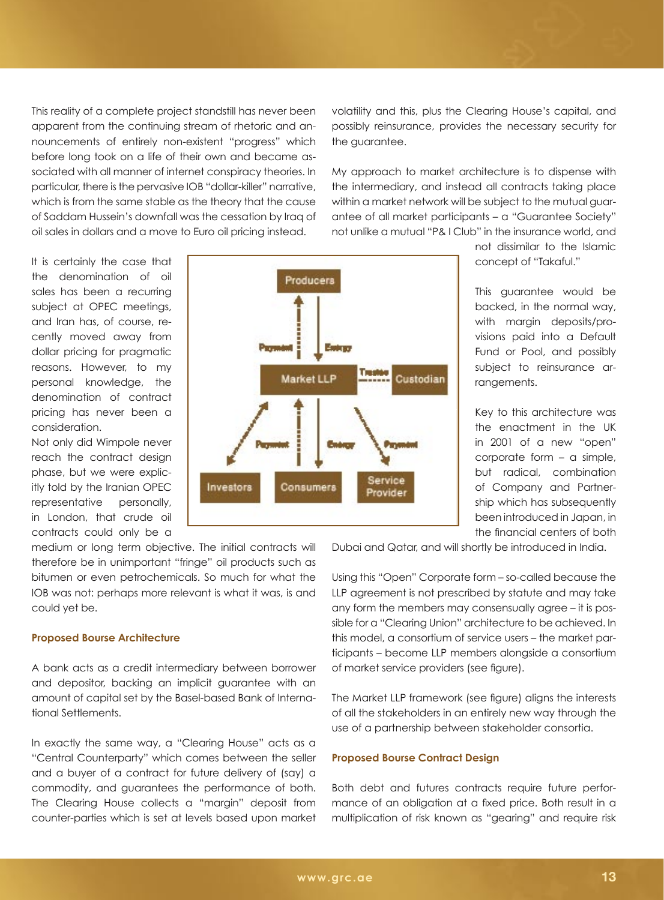This reality of a complete project standstill has never been apparent from the continuing stream of rhetoric and announcements of entirely non-existent "progress" which before long took on a life of their own and became associated with all manner of internet conspiracy theories. In particular, there is the pervasive IOB "dollar-killer" narrative, which is from the same stable as the theory that the cause of Saddam Hussein's downfall was the cessation by Iraq of oil sales in dollars and a move to Euro oil pricing instead.

volatility and this, plus the Clearing House's capital, and possibly reinsurance, provides the necessary security for the guarantee.

My approach to market architecture is to dispense with the intermediary, and instead all contracts taking place within a market network will be subject to the mutual guarantee of all market participants – a "Guarantee Society" not unlike a mutual "P& I Club" in the insurance world, and

It is certainly the case that the denomination of oil sales has been a recurring subject at OPEC meetings, and Iran has, of course, recently moved away from dollar pricing for pragmatic reasons. However, to my personal knowledge, the denomination of contract pricing has never been a consideration.

Not only did Wimpole never reach the contract design phase, but we were explicitly told by the Iranian OPEC representative personally, in London, that crude oil contracts could only be a

medium or long term objective. The initial contracts will therefore be in unimportant "fringe" oil products such as bitumen or even petrochemicals. So much for what the IOB was not: perhaps more relevant is what it was, is and could yet be.

#### **Proposed Bourse Architecture**

A bank acts as a credit intermediary between borrower and depositor, backing an implicit guarantee with an amount of capital set by the Basel-based Bank of International Settlements.

In exactly the same way, a "Clearing House" acts as a "Central Counterparty" which comes between the seller and a buyer of a contract for future delivery of (say) a commodity, and guarantees the performance of both. The Clearing House collects a "margin" deposit from counter-parties which is set at levels based upon market

not dissimilar to the Islamic concept of "Takaful."

This guarantee would be backed, in the normal way, with margin deposits/provisions paid into a Default Fund or Pool, and possibly subject to reinsurance arrangements.

Key to this architecture was the enactment in the UK in 2001 of a new "open" corporate form – a simple, but radical, combination of Company and Partnership which has subsequently been introduced in Japan, in the financial centers of both

Dubai and Qatar, and will shortly be introduced in India.

Using this "Open" Corporate form – so-called because the LLP agreement is not prescribed by statute and may take any form the members may consensually agree – it is possible for a "Clearing Union" architecture to be achieved. In this model, a consortium of service users – the market participants – become LLP members alongside a consortium of market service providers (see figure).

The Market LLP framework (see figure) aligns the interests of all the stakeholders in an entirely new way through the use of a partnership between stakeholder consortia.

#### **Proposed Bourse Contract Design**

Both debt and futures contracts require future performance of an obligation at a fixed price. Both result in a multiplication of risk known as "gearing" and require risk

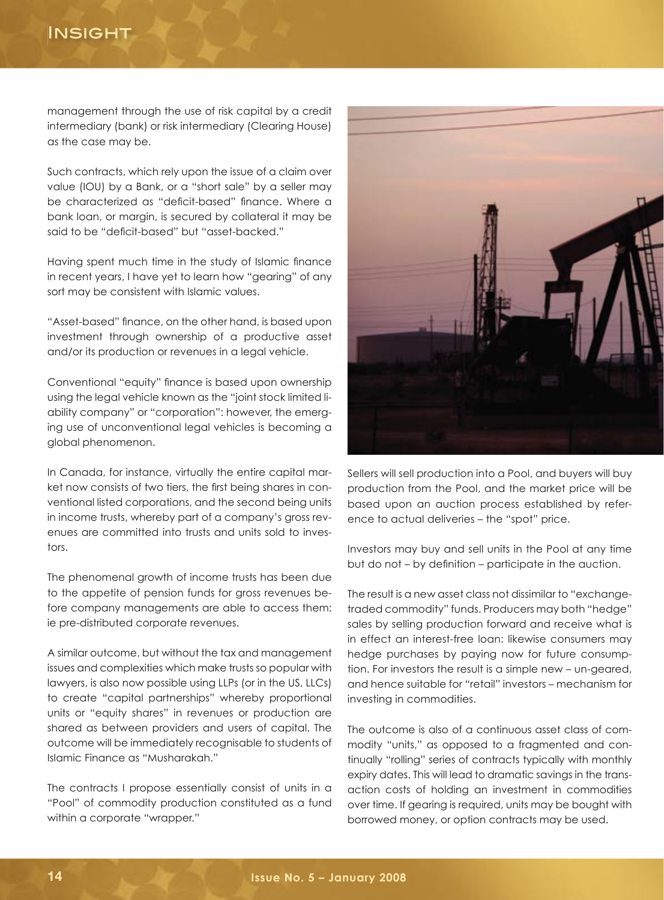# **INSIGHT**

management through the use of risk capital by a credit intermediary (bank) or risk intermediary (Clearing House) as the case may be.

Such contracts, which rely upon the issue of a claim over value (IOU) by a Bank, or a "short sale" by a seller may be characterized as "deficit-based" finance. Where a bank loan, or margin, is secured by collateral it may be said to be "deficit-based" but "asset-backed."

Having spent much time in the study of Islamic finance in recent years, I have yet to learn how "gearing" of any sort may be consistent with Islamic values.

"Asset-based" finance, on the other hand, is based upon investment through ownership of a productive asset and/or its production or revenues in a legal vehicle.

Conventional "equity" finance is based upon ownership using the legal vehicle known as the "joint stock limited liability company" or "corporation": however, the emerging use of unconventional legal vehicles is becoming a global phenomenon.

In Canada, for instance, virtually the entire capital market now consists of two tiers, the first being shares in conventional listed corporations, and the second being units in income trusts, whereby part of a company's gross revenues are committed into trusts and units sold to investors.

The phenomenal growth of income trusts has been due to the appetite of pension funds for gross revenues before company managements are able to access them: ie pre-distributed corporate revenues.

A similar outcome, but without the tax and management issues and complexities which make trusts so popular with lawyers, is also now possible using LLPs (or in the US, LLCs) to create "capital partnerships" whereby proportional units or "equity shares" in revenues or production are shared as between providers and users of capital. The outcome will be immediately recognisable to students of Islamic Finance as "Musharakah."

The contracts I propose essentially consist of units in a "Pool" of commodity production constituted as a fund within a corporate "wrapper."



Sellers will sell production into a Pool, and buyers will buy production from the Pool, and the market price will be based upon an auction process established by reference to actual deliveries – the "spot" price.

Investors may buy and sell units in the Pool at any time but do not – by definition – participate in the auction.

The result is a new asset class not dissimilar to "exchangetraded commodity" funds. Producers may both "hedge" sales by selling production forward and receive what is in effect an interest-free loan: likewise consumers may hedge purchases by paying now for future consumption. For investors the result is a simple new – un-geared, and hence suitable for "retail" investors – mechanism for investing in commodities.

The outcome is also of a continuous asset class of commodity "units," as opposed to a fragmented and continually "rolling" series of contracts typically with monthly expiry dates. This will lead to dramatic savings in the transaction costs of holding an investment in commodities over time. If gearing is required, units may be bought with borrowed money, or option contracts may be used.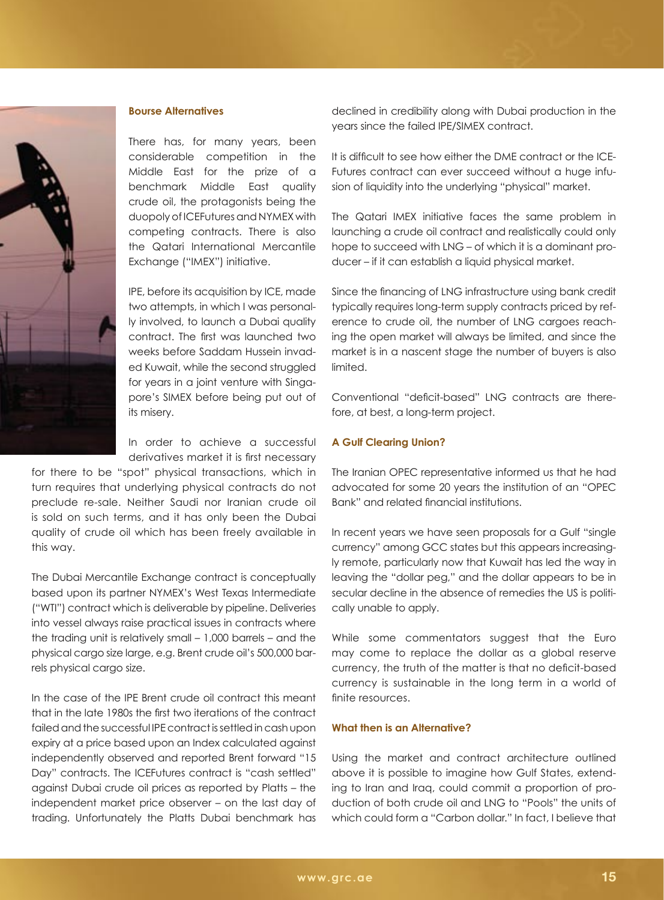

## **Bourse Alternatives**

There has, for many years, been considerable competition in the Middle East for the prize of a benchmark Middle East quality crude oil, the protagonists being the duopoly of ICEFutures and NYMEX with competing contracts. There is also the Qatari International Mercantile Exchange ("IMEX") initiative.

IPE, before its acquisition by ICE, made two attempts, in which I was personally involved, to launch a Dubai quality contract. The first was launched two weeks before Saddam Hussein invaded Kuwait, while the second struggled for years in a joint venture with Singapore's SIMEX before being put out of its misery.

In order to achieve a successful derivatives market it is first necessary

for there to be "spot" physical transactions, which in turn requires that underlying physical contracts do not preclude re-sale. Neither Saudi nor Iranian crude oil is sold on such terms, and it has only been the Dubai quality of crude oil which has been freely available in this way.

The Dubai Mercantile Exchange contract is conceptually based upon its partner NYMEX's West Texas Intermediate ("WTI") contract which is deliverable by pipeline. Deliveries into vessel always raise practical issues in contracts where the trading unit is relatively small – 1,000 barrels – and the physical cargo size large, e.g. Brent crude oil's 500,000 barrels physical cargo size.

In the case of the IPE Brent crude oil contract this meant that in the late 1980s the first two iterations of the contract failed and the successful IPE contract is settled in cash upon expiry at a price based upon an Index calculated against independently observed and reported Brent forward "15 Day" contracts. The ICEFutures contract is "cash settled" against Dubai crude oil prices as reported by Platts – the independent market price observer – on the last day of trading. Unfortunately the Platts Dubai benchmark has declined in credibility along with Dubai production in the years since the failed IPE/SIMEX contract.

It is difficult to see how either the DME contract or the ICE-Futures contract can ever succeed without a huge infusion of liquidity into the underlying "physical" market.

The Qatari IMEX initiative faces the same problem in launching a crude oil contract and realistically could only hope to succeed with LNG – of which it is a dominant producer – if it can establish a liquid physical market.

Since the financing of LNG infrastructure using bank credit typically requires long-term supply contracts priced by reference to crude oil, the number of LNG cargoes reaching the open market will always be limited, and since the market is in a nascent stage the number of buyers is also limited.

Conventional "deficit-based" LNG contracts are therefore, at best, a long-term project.

# **A Gulf Clearing Union?**

The Iranian OPEC representative informed us that he had advocated for some 20 years the institution of an "OPEC Bank" and related financial institutions.

In recent years we have seen proposals for a Gulf "single currency" among GCC states but this appears increasingly remote, particularly now that Kuwait has led the way in leaving the "dollar peg," and the dollar appears to be in secular decline in the absence of remedies the US is politically unable to apply.

While some commentators suggest that the Euro may come to replace the dollar as a global reserve currency, the truth of the matter is that no deficit-based currency is sustainable in the long term in a world of finite resources.

### **What then is an Alternative?**

Using the market and contract architecture outlined above it is possible to imagine how Gulf States, extending to Iran and Iraq, could commit a proportion of production of both crude oil and LNG to "Pools" the units of which could form a "Carbon dollar." In fact, I believe that